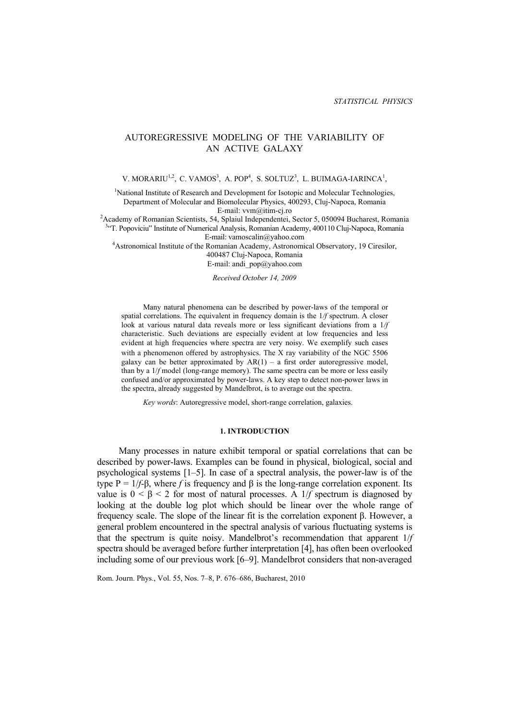# AUTOREGRESSIVE MODELING OF THE VARIABILITY OF AN ACTIVE GALAXY

V. MORARIU<sup>1,2</sup>, C. VAMOS<sup>3</sup>, A. POP<sup>4</sup>, S. SOLTUZ<sup>3</sup>, L. BUIMAGA-IARINCA<sup>1</sup>,

<sup>1</sup>National Institute of Research and Development for Isotopic and Molecular Technologies, Department of Molecular and Biomolecular Physics, 400293, Cluj-Napoca, Romania E-mail: vvm@itim-cj.ro<br><sup>2</sup>Aeademy of Pemerier Sejentists, 54, Spleiul Independentei.

Academy of Romanian Scientists, 54, Splaiul Independentei, Sector 5, 050094 Bucharest, Romania<br><sup>34</sup> Exposition<sup>2</sup> Institute of Numerical Analysis Romanian Acedemy 400110 Clui Napoea, Romania "T. Popoviciu" Institute of Numerical Analysis, Romanian Academy, 400110 Cluj-Napoca, Romania

E-mail: vamoscalin@yahoo.com 4 Astronomical Institute of the Romanian Academy, Astronomical Observatory, 19 Ciresilor,

400487 Cluj-Napoca, Romania

E-mail: andi\_pop@yahoo.com

*Received October 14, 2009* 

Many natural phenomena can be described by power-laws of the temporal or spatial correlations. The equivalent in frequency domain is the 1*/f* spectrum. A closer look at various natural data reveals more or less significant deviations from a 1*/f* characteristic. Such deviations are especially evident at low frequencies and less evident at high frequencies where spectra are very noisy. We exemplify such cases with a phenomenon offered by astrophysics. The X ray variability of the NGC 5506 galaxy can be better approximated by  $AR(1) - a$  first order autoregressive model, than by a 1/*f* model (long-range memory). The same spectra can be more or less easily confused and/or approximated by power-laws. A key step to detect non-power laws in the spectra, already suggested by Mandelbrot, is to average out the spectra.

*Key words*: Autoregressive model, short-range correlation, galaxies.

### **1. INTRODUCTION**

Many processes in nature exhibit temporal or spatial correlations that can be described by power-laws. Examples can be found in physical, biological, social and psychological systems [1–5]. In case of a spectral analysis, the power-law is of the type  $P = 1/f-\beta$ , where *f* is frequency and  $\beta$  is the long-range correlation exponent. Its value is  $0 \le \beta \le 2$  for most of natural processes. A 1/*f* spectrum is diagnosed by looking at the double log plot which should be linear over the whole range of frequency scale. The slope of the linear fit is the correlation exponent β. However, a general problem encountered in the spectral analysis of various fluctuating systems is that the spectrum is quite noisy. Mandelbrot's recommendation that apparent 1/*f*  spectra should be averaged before further interpretation [4], has often been overlooked including some of our previous work [6–9]. Mandelbrot considers that non-averaged

Rom. Journ. Phys., Vol. 55, Nos. 7–8, P. 676–686, Bucharest, 2010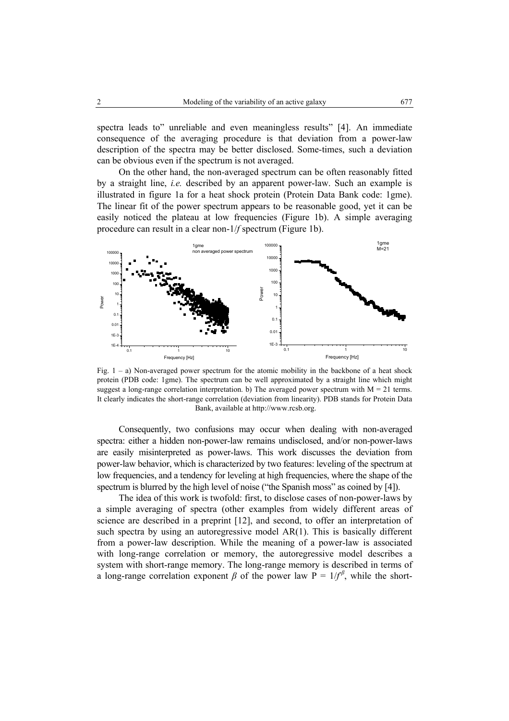spectra leads to" unreliable and even meaningless results" [4]. An immediate consequence of the averaging procedure is that deviation from a power-law description of the spectra may be better disclosed. Some-times, such a deviation can be obvious even if the spectrum is not averaged.

On the other hand, the non-averaged spectrum can be often reasonably fitted by a straight line, *i.e.* described by an apparent power-law. Such an example is illustrated in figure 1a for a heat shock protein (Protein Data Bank code: 1gme). The linear fit of the power spectrum appears to be reasonable good, yet it can be easily noticed the plateau at low frequencies (Figure 1b). A simple averaging procedure can result in a clear non-1/*f* spectrum (Figure 1b).



Fig.  $1 - a$ ) Non-averaged power spectrum for the atomic mobility in the backbone of a heat shock protein (PDB code: 1gme). The spectrum can be well approximated by a straight line which might suggest a long-range correlation interpretation. b) The averaged power spectrum with  $M = 21$  terms. It clearly indicates the short-range correlation (deviation from linearity). PDB stands for Protein Data Bank, available at http://www.rcsb.org.

Consequently, two confusions may occur when dealing with non-averaged spectra: either a hidden non-power-law remains undisclosed, and/or non-power-laws are easily misinterpreted as power-laws. This work discusses the deviation from power-law behavior, which is characterized by two features: leveling of the spectrum at low frequencies, and a tendency for leveling at high frequencies, where the shape of the spectrum is blurred by the high level of noise ("the Spanish moss" as coined by [4]).

The idea of this work is twofold: first, to disclose cases of non-power-laws by a simple averaging of spectra (other examples from widely different areas of science are described in a preprint [12], and second, to offer an interpretation of such spectra by using an autoregressive model  $AR(1)$ . This is basically different from a power-law description. While the meaning of a power-law is associated with long-range correlation or memory, the autoregressive model describes a system with short-range memory. The long-range memory is described in terms of a long-range correlation exponent  $\beta$  of the power law  $P = 1/f^{\beta}$ , while the short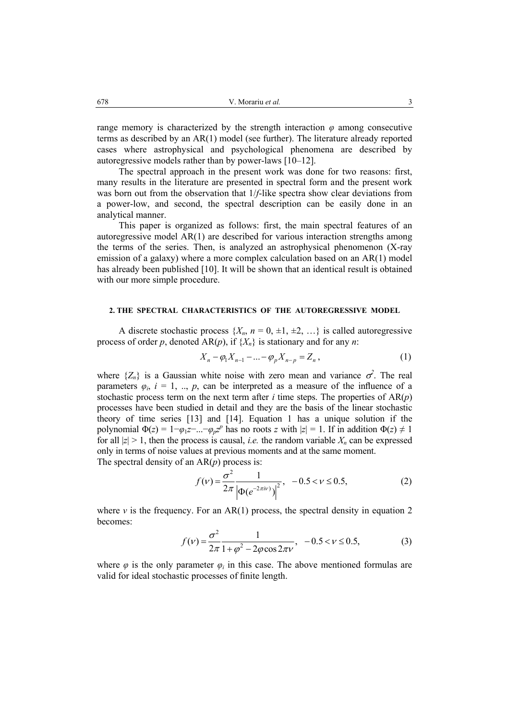range memory is characterized by the strength interaction *φ* among consecutive terms as described by an AR(1) model (see further). The literature already reported cases where astrophysical and psychological phenomena are described by autoregressive models rather than by power-laws [10–12].

The spectral approach in the present work was done for two reasons: first, many results in the literature are presented in spectral form and the present work was born out from the observation that 1/*f*-like spectra show clear deviations from a power-low, and second, the spectral description can be easily done in an analytical manner.

This paper is organized as follows: first, the main spectral features of an autoregressive model  $AR(1)$  are described for various interaction strengths among the terms of the series. Then, is analyzed an astrophysical phenomenon (X-ray emission of a galaxy) where a more complex calculation based on an AR(1) model has already been published [10]. It will be shown that an identical result is obtained with our more simple procedure.

## **2. THE SPECTRAL CHARACTERISTICS OF THE AUTOREGRESSIVE MODEL**

A discrete stochastic process  $\{X_n, n = 0, \pm 1, \pm 2, \ldots\}$  is called autoregressive process of order *p*, denoted  $AR(p)$ , if  $\{X_n\}$  is stationary and for any *n*:

$$
X_n - \varphi_1 X_{n-1} - \dots - \varphi_p X_{n-p} = Z_n , \qquad (1)
$$

where  $\{Z_n\}$  is a Gaussian white noise with zero mean and variance  $\sigma^2$ . The real parameters  $\varphi_i$ ,  $i = 1, ..., p$ , can be interpreted as a measure of the influence of a stochastic process term on the next term after  $i$  time steps. The properties of  $AR(p)$ processes have been studied in detail and they are the basis of the linear stochastic theory of time series [13] and [14]. Equation 1 has a unique solution if the polynomial  $\Phi(z) = 1 - \varphi_1 z - \ldots - \varphi_p z^p$  has no roots *z* with  $|z| = 1$ . If in addition  $\Phi(z) \neq 1$ for all  $|z| > 1$ , then the process is causal, *i.e.* the random variable  $X_n$  can be expressed only in terms of noise values at previous moments and at the same moment. The spectral density of an AR(*p*) process is:

$$
f(\nu) = \frac{\sigma^2}{2\pi} \frac{1}{\left|\Phi(e^{-2\pi i\nu})\right|^2}, \quad -0.5 < \nu \le 0.5,
$$
 (2)

where *v* is the frequency. For an  $AR(1)$  process, the spectral density in equation 2 becomes:

$$
f(\nu) = \frac{\sigma^2}{2\pi} \frac{1}{1 + \varphi^2 - 2\varphi \cos 2\pi \nu}, \quad -0.5 < \nu \le 0.5,
$$
 (3)

where  $\varphi$  is the only parameter  $\varphi_i$  in this case. The above mentioned formulas are valid for ideal stochastic processes of finite length.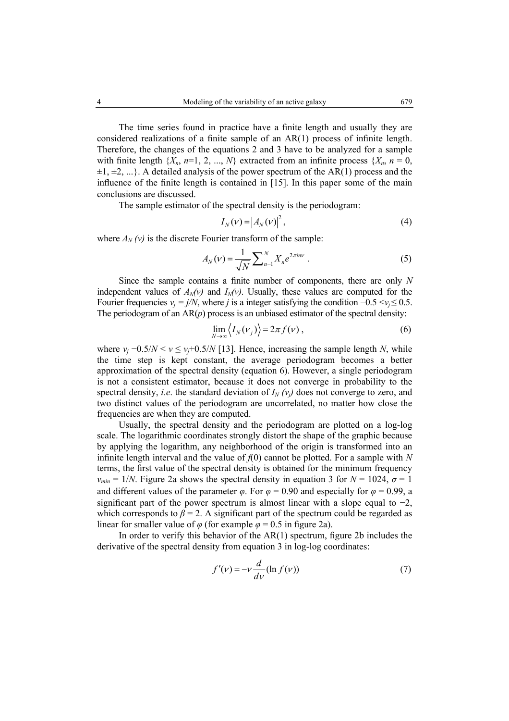The time series found in practice have a finite length and usually they are considered realizations of a finite sample of an AR(1) process of infinite length. Therefore, the changes of the equations 2 and 3 have to be analyzed for a sample with finite length  $\{X_n, n=1, 2, ..., N\}$  extracted from an infinite process  $\{X_n, n=0,$  $\pm 1, \pm 2, \ldots$ . A detailed analysis of the power spectrum of the AR(1) process and the influence of the finite length is contained in [15]. In this paper some of the main conclusions are discussed.

The sample estimator of the spectral density is the periodogram:

$$
I_N(\nu) = |A_N(\nu)|^2, \tag{4}
$$

where  $A_N(v)$  is the discrete Fourier transform of the sample:

$$
A_N(\nu) = \frac{1}{\sqrt{N}} \sum_{n=1}^{N} X_n e^{2\pi i n \nu} \tag{5}
$$

Since the sample contains a finite number of components, there are only *N*  independent values of  $A_N(v)$  and  $I_N(v)$ . Usually, these values are computed for the Fourier frequencies  $v_i = j/N$ , where *j* is a integer satisfying the condition  $-0.5 \le v_i \le 0.5$ . The periodogram of an  $AR(p)$  process is an unbiased estimator of the spectral density:

$$
\lim_{N \to \infty} \langle I_N(\nu_j) \rangle = 2\pi f(\nu) , \qquad (6)
$$

where  $v_i - 0.5/N < v \le v_i + 0.5/N$  [13]. Hence, increasing the sample length *N*, while the time step is kept constant, the average periodogram becomes a better approximation of the spectral density (equation 6). However, a single periodogram is not a consistent estimator, because it does not converge in probability to the spectral density, *i.e.* the standard deviation of  $I_N(v_i)$  does not converge to zero, and two distinct values of the periodogram are uncorrelated, no matter how close the frequencies are when they are computed.

Usually, the spectral density and the periodogram are plotted on a log-log scale. The logarithmic coordinates strongly distort the shape of the graphic because by applying the logarithm, any neighborhood of the origin is transformed into an infinite length interval and the value of  $f(0)$  cannot be plotted. For a sample with N terms, the first value of the spectral density is obtained for the minimum frequency  $v_{min} = 1/N$ . Figure 2a shows the spectral density in equation 3 for  $N = 1024$ ,  $\sigma = 1$ and different values of the parameter  $\varphi$ . For  $\varphi = 0.90$  and especially for  $\varphi = 0.99$ , a significant part of the power spectrum is almost linear with a slope equal to  $-2$ , which corresponds to  $\beta = 2$ . A significant part of the spectrum could be regarded as linear for smaller value of  $\varphi$  (for example  $\varphi = 0.5$  in figure 2a).

In order to verify this behavior of the AR(1) spectrum, figure 2b includes the derivative of the spectral density from equation 3 in log-log coordinates:

$$
f'(\nu) = -\nu \frac{d}{d\nu} (\ln f(\nu))
$$
 (7)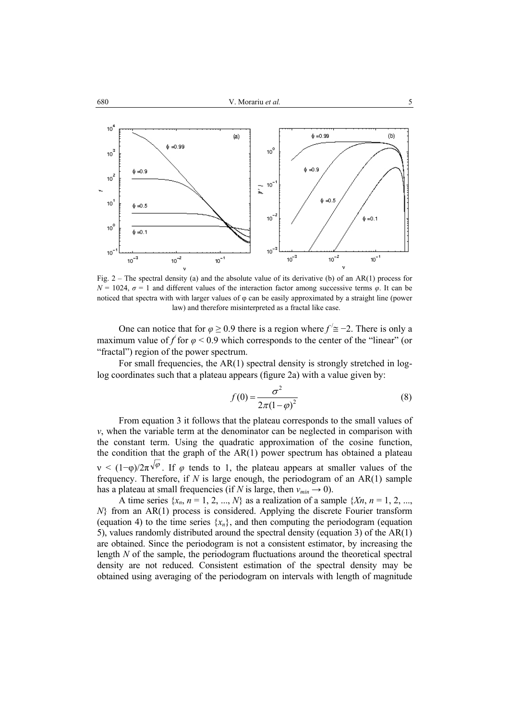

Fig. 2 – The spectral density (a) and the absolute value of its derivative (b) of an AR(1) process for  $N = 1024$ ,  $\sigma = 1$  and different values of the interaction factor among successive terms  $\varphi$ . It can be noticed that spectra with with larger values of φ can be easily approximated by a straight line (power law) and therefore misinterpreted as a fractal like case.

One can notice that for  $\varphi \ge 0.9$  there is a region where  $f' \cong -2$ . There is only a maximum value of  $f$  for  $\varphi$  < 0.9 which corresponds to the center of the "linear" (or "fractal") region of the power spectrum.

For small frequencies, the AR(1) spectral density is strongly stretched in loglog coordinates such that a plateau appears (figure 2a) with a value given by:

$$
f(0) = \frac{\sigma^2}{2\pi(1-\varphi)^2}
$$
 (8)

From equation 3 it follows that the plateau corresponds to the small values of *ν*, when the variable term at the denominator can be neglected in comparison with the constant term. Using the quadratic approximation of the cosine function, the condition that the graph of the  $AR(1)$  power spectrum has obtained a plateau  $v \leq (1-\varphi)/2\pi\sqrt{\varphi}$ . If  $\varphi$  tends to 1, the plateau appears at smaller values of the frequency. Therefore, if *N* is large enough, the periodogram of an AR(1) sample has a plateau at small frequencies (if *N* is large, then  $v_{min} \rightarrow 0$ ).

A time series  $\{x_n, n = 1, 2, ..., N\}$  as a realization of a sample  $\{X_n, n = 1, 2, ..., X\}$ *N*} from an AR(1) process is considered. Applying the discrete Fourier transform (equation 4) to the time series  $\{x_n\}$ , and then computing the periodogram (equation 5), values randomly distributed around the spectral density (equation 3) of the AR(1) are obtained. Since the periodogram is not a consistent estimator, by increasing the length *N* of the sample, the periodogram fluctuations around the theoretical spectral density are not reduced. Consistent estimation of the spectral density may be obtained using averaging of the periodogram on intervals with length of magnitude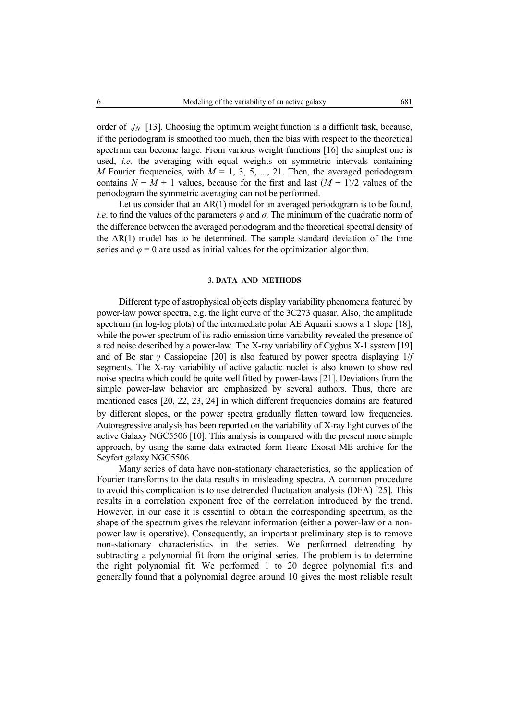order of  $\sqrt{N}$  [13]. Choosing the optimum weight function is a difficult task, because, if the periodogram is smoothed too much, then the bias with respect to the theoretical spectrum can become large. From various weight functions [16] the simplest one is used, *i.e.* the averaging with equal weights on symmetric intervals containing *M* Fourier frequencies, with  $M = 1, 3, 5, ..., 21$ . Then, the averaged periodogram contains  $N - M + 1$  values, because for the first and last  $(M - 1)/2$  values of the periodogram the symmetric averaging can not be performed.

Let us consider that an AR(1) model for an averaged periodogram is to be found, *i.e.* to find the values of the parameters  $\varphi$  and  $\sigma$ . The minimum of the quadratic norm of the difference between the averaged periodogram and the theoretical spectral density of the AR(1) model has to be determined. The sample standard deviation of the time series and  $\varphi = 0$  are used as initial values for the optimization algorithm.

#### **3. DATA AND METHODS**

Different type of astrophysical objects display variability phenomena featured by power-law power spectra, e.g. the light curve of the 3C273 quasar. Also, the amplitude spectrum (in log-log plots) of the intermediate polar AE Aquarii shows a 1 slope [18], while the power spectrum of its radio emission time variability revealed the presence of a red noise described by a power-law. The X-ray variability of Cygbus X-1 system [19] and of Be star *γ* Cassiopeiae [20] is also featured by power spectra displaying 1/*f*  segments. The X-ray variability of active galactic nuclei is also known to show red noise spectra which could be quite well fitted by power-laws [21]. Deviations from the simple power-law behavior are emphasized by several authors. Thus, there are mentioned cases [20, 22, 23, 24] in which different frequencies domains are featured by different slopes, or the power spectra gradually flatten toward low frequencies. Autoregressive analysis has been reported on the variability of X-ray light curves of the active Galaxy NGC5506 [10]. This analysis is compared with the present more simple approach, by using the same data extracted form Hearc Exosat ME archive for the Seyfert galaxy NGC5506.

Many series of data have non-stationary characteristics, so the application of Fourier transforms to the data results in misleading spectra. A common procedure to avoid this complication is to use detrended fluctuation analysis (DFA) [25]. This results in a correlation exponent free of the correlation introduced by the trend. However, in our case it is essential to obtain the corresponding spectrum, as the shape of the spectrum gives the relevant information (either a power-law or a nonpower law is operative). Consequently, an important preliminary step is to remove non-stationary characteristics in the series. We performed detrending by subtracting a polynomial fit from the original series. The problem is to determine the right polynomial fit. We performed 1 to 20 degree polynomial fits and generally found that a polynomial degree around 10 gives the most reliable result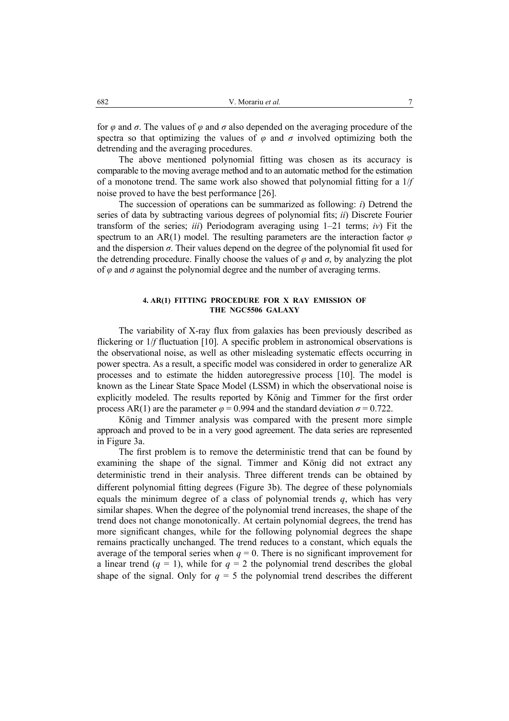for *φ* and *σ*. The values of *φ* and *σ* also depended on the averaging procedure of the spectra so that optimizing the values of  $\varphi$  and  $\sigma$  involved optimizing both the detrending and the averaging procedures.

The above mentioned polynomial fitting was chosen as its accuracy is comparable to the moving average method and to an automatic method for the estimation of a monotone trend. The same work also showed that polynomial fitting for a 1/*f*  noise proved to have the best performance [26].

The succession of operations can be summarized as following: *i*) Detrend the series of data by subtracting various degrees of polynomial fits; *ii*) Discrete Fourier transform of the series; *iii*) Periodogram averaging using  $1-21$  terms; *iv*) Fit the spectrum to an AR(1) model. The resulting parameters are the interaction factor *φ*  and the dispersion  $\sigma$ . Their values depend on the degree of the polynomial fit used for the detrending procedure. Finally choose the values of  $\varphi$  and  $\sigma$ , by analyzing the plot of *φ* and *σ* against the polynomial degree and the number of averaging terms.

#### **4. AR(1) FITTING PROCEDURE FOR X RAY EMISSION OF THE NGC5506 GALAXY**

The variability of X-ray flux from galaxies has been previously described as flickering or  $1/f$  fluctuation [10]. A specific problem in astronomical observations is the observational noise, as well as other misleading systematic effects occurring in power spectra. As a result, a specific model was considered in order to generalize AR processes and to estimate the hidden autoregressive process [10]. The model is known as the Linear State Space Model (LSSM) in which the observational noise is explicitly modeled. The results reported by König and Timmer for the first order process AR(1) are the parameter  $\varphi = 0.994$  and the standard deviation  $\sigma = 0.722$ .

König and Timmer analysis was compared with the present more simple approach and proved to be in a very good agreement. The data series are represented in Figure 3a.

The first problem is to remove the deterministic trend that can be found by examining the shape of the signal. Timmer and König did not extract any deterministic trend in their analysis. Three different trends can be obtained by different polynomial fitting degrees (Figure 3b). The degree of these polynomials equals the minimum degree of a class of polynomial trends  $q$ , which has very similar shapes. When the degree of the polynomial trend increases, the shape of the trend does not change monotonically. At certain polynomial degrees, the trend has more significant changes, while for the following polynomial degrees the shape remains practically unchanged. The trend reduces to a constant, which equals the average of the temporal series when  $q = 0$ . There is no significant improvement for a linear trend  $(q = 1)$ , while for  $q = 2$  the polynomial trend describes the global shape of the signal. Only for  $q = 5$  the polynomial trend describes the different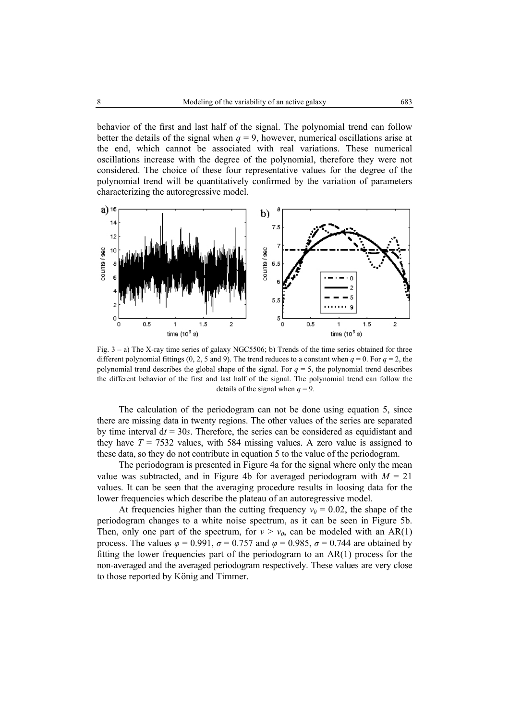behavior of the first and last half of the signal. The polynomial trend can follow better the details of the signal when  $q = 9$ , however, numerical oscillations arise at the end, which cannot be associated with real variations. These numerical oscillations increase with the degree of the polynomial, therefore they were not considered. The choice of these four representative values for the degree of the polynomial trend will be quantitatively confirmed by the variation of parameters characterizing the autoregressive model.



Fig. 3 – a) The X-ray time series of galaxy NGC5506; b) Trends of the time series obtained for three different polynomial fittings  $(0, 2, 5 \text{ and } 9)$ . The trend reduces to a constant when  $q = 0$ . For  $q = 2$ , the polynomial trend describes the global shape of the signal. For *q* = 5, the polynomial trend describes the different behavior of the first and last half of the signal. The polynomial trend can follow the details of the signal when  $q = 9$ .

The calculation of the periodogram can not be done using equation 5, since there are missing data in twenty regions. The other values of the series are separated by time interval  $dt = 30s$ . Therefore, the series can be considered as equidistant and they have  $T = 7532$  values, with 584 missing values. A zero value is assigned to these data, so they do not contribute in equation 5 to the value of the periodogram.

The periodogram is presented in Figure 4a for the signal where only the mean value was subtracted, and in Figure 4b for averaged periodogram with  $M = 21$ values. It can be seen that the averaging procedure results in loosing data for the lower frequencies which describe the plateau of an autoregressive model.

At frequencies higher than the cutting frequency  $v_0 = 0.02$ , the shape of the periodogram changes to a white noise spectrum, as it can be seen in Figure 5b. Then, only one part of the spectrum, for  $v > v_0$ , can be modeled with an AR(1) process. The values  $\varphi = 0.991$ ,  $\sigma = 0.757$  and  $\varphi = 0.985$ ,  $\sigma = 0.744$  are obtained by fitting the lower frequencies part of the periodogram to an  $AR(1)$  process for the non-averaged and the averaged periodogram respectively. These values are very close to those reported by König and Timmer.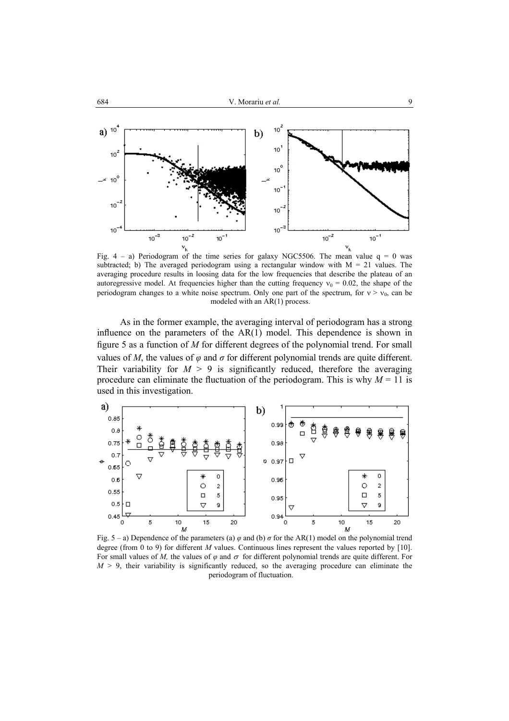

Fig.  $4 - a$ ) Periodogram of the time series for galaxy NGC5506. The mean value  $q = 0$  was subtracted; b) The averaged periodogram using a rectangular window with  $M = 21$  values. The averaging procedure results in loosing data for the low frequencies that describe the plateau of an autoregressive model. At frequencies higher than the cutting frequency  $v_0 = 0.02$ , the shape of the periodogram changes to a white noise spectrum. Only one part of the spectrum, for  $v > v_0$ , can be modeled with an AR(1) process.

As in the former example, the averaging interval of periodogram has a strong influence on the parameters of the AR(1) model. This dependence is shown in figure 5 as a function of *M* for different degrees of the polynomial trend. For small values of *M*, the values of  $\varphi$  and  $\sigma$  for different polynomial trends are quite different. Their variability for  $M > 9$  is significantly reduced, therefore the averaging procedure can eliminate the fluctuation of the periodogram. This is why  $M = 11$  is used in this investigation.



Fig. 5 – a) Dependence of the parameters (a)  $\varphi$  and (b)  $\sigma$  for the AR(1) model on the polynomial trend degree (from 0 to 9) for different *M* values. Continuous lines represent the values reported by [10]. For small values of *M*, the values of  $\varphi$  and  $\sigma$  for different polynomial trends are quite different. For  $M > 9$ , their variability is significantly reduced, so the averaging procedure can eliminate the periodogram of fluctuation.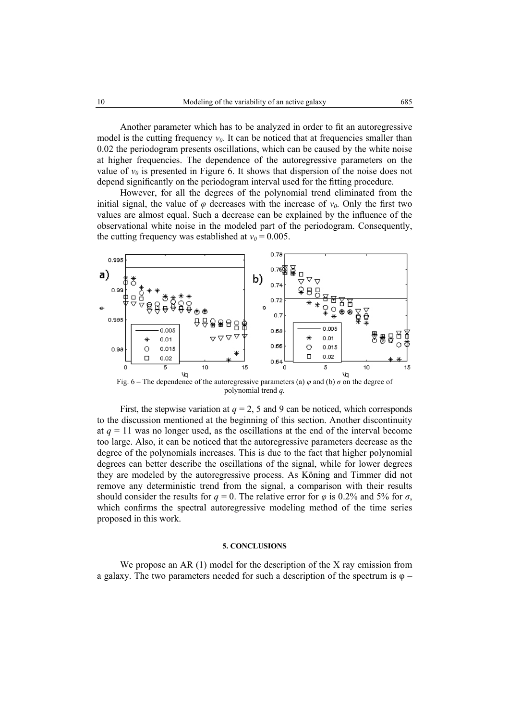Another parameter which has to be analyzed in order to fit an autoregressive model is the cutting frequency  $v_0$ . It can be noticed that at frequencies smaller than 0.02 the periodogram presents oscillations, which can be caused by the white noise at higher frequencies. The dependence of the autoregressive parameters on the value of  $v_0$  is presented in Figure 6. It shows that dispersion of the noise does not depend significantly on the periodogram interval used for the fitting procedure.

However, for all the degrees of the polynomial trend eliminated from the initial signal, the value of  $\varphi$  decreases with the increase of  $v_0$ . Only the first two values are almost equal. Such a decrease can be explained by the influence of the observational white noise in the modeled part of the periodogram. Consequently, the cutting frequency was established at  $v_0 = 0.005$ .



polynomial trend *q.*

First, the stepwise variation at  $q = 2$ , 5 and 9 can be noticed, which corresponds to the discussion mentioned at the beginning of this section. Another discontinuity at  $q = 11$  was no longer used, as the oscillations at the end of the interval become too large. Also, it can be noticed that the autoregressive parameters decrease as the degree of the polynomials increases. This is due to the fact that higher polynomial degrees can better describe the oscillations of the signal, while for lower degrees they are modeled by the autoregressive process. As Köning and Timmer did not remove any deterministic trend from the signal, a comparison with their results should consider the results for  $q = 0$ . The relative error for  $\varphi$  is 0.2% and 5% for  $\sigma$ , which confirms the spectral autoregressive modeling method of the time series proposed in this work.

#### **5. CONCLUSIONS**

We propose an AR (1) model for the description of the X ray emission from a galaxy. The two parameters needed for such a description of the spectrum is  $\varphi$  –